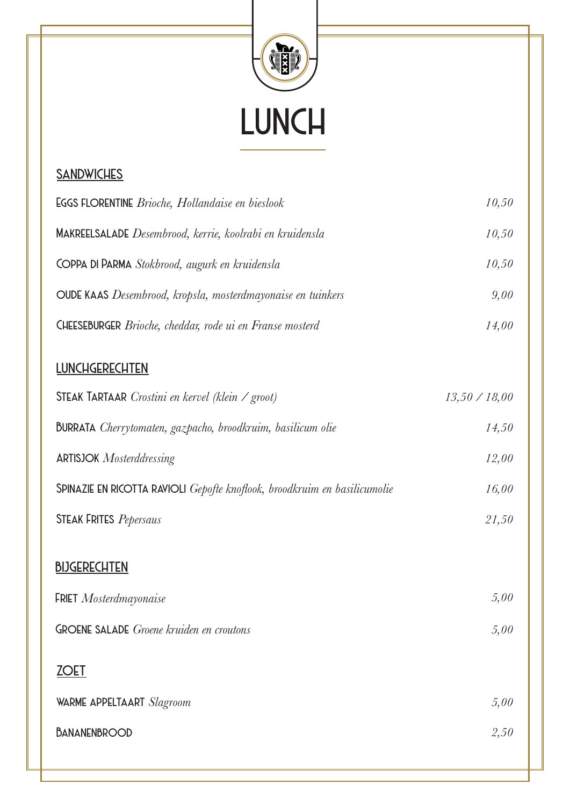

## *sandwiches Eggs florentine Brioche, Hollandaise en bieslook Makreelsalade Desembrood, kerrie, koolrabi en kruidensla Coppa di Parma Stokbrood, augurk en kruidensla oude kaas Desembrood, kropsla, mosterdmayonaise en tuinkers Cheeseburger Brioche, cheddar, rode ui en Franse mosterd 9,00 10,50 10,50 10,50 14,00 lunchgerechten Steak Tartaar Crostini en kervel (klein / groot) Burrata Cherrytomaten, gazpacho, broodkruim, basilicum olie Artisjok Mosterddressing Spinazie en ricotta ravioli Gepofte knoflook, broodkruim en basilicumolie Steak Frites Pepersaus 14,50 13,50 / 18,00 12,00 16,00 5,00 bijgerechten Friet Mosterdmayonaise Groene salade Groene kruiden en croutons 5,00 21,50 5,00 zoet warme appeltaart Slagroom Bananenbrood 2,50*